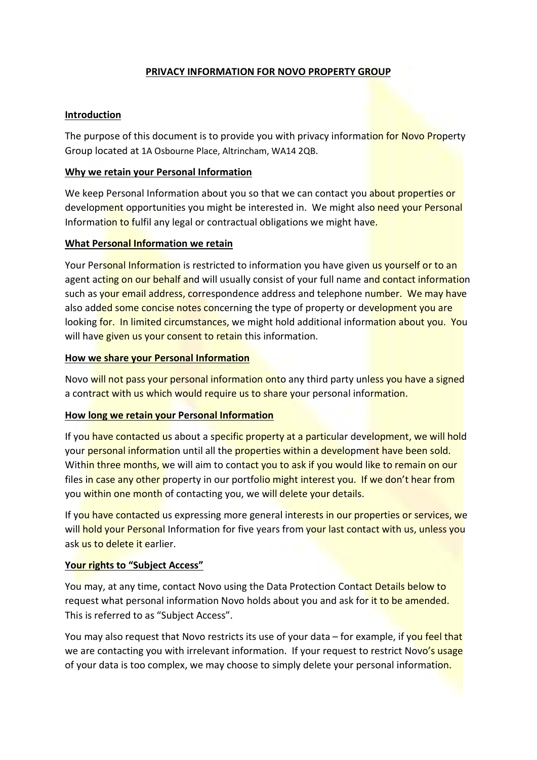# PRIVACY INFORMATION FOR NOVO PROPERTY GROUP

### Introduction

The purpose of this document is to provide you with privacy information for Novo Property Group located at 1A Osbourne Place, Altrincham, WA14 2QB.

## Why we retain your Personal Information

We keep Personal Information about you so that we can contact you about properties or development opportunities you might be interested in. We might also need your Personal Information to fulfil any legal or contractual obligations we might have.

### What Personal Information we retain

Your Personal Information is restricted to information you have given us yourself or to an agent acting on our behalf and will usually consist of your full name and contact information such as your email address, correspondence address and telephone number. We may have also added some concise notes concerning the type of property or development you are looking for. In limited circumstances, we might hold additional information about you. You will have given us your consent to retain this information.

#### How we share your Personal Information

Novo will not pass your personal information onto any third party unless you have a signed a contract with us which would require us to share your personal information.

#### How long we retain your Personal Information

If you have contacted us about a specific property at a particular development, we will hold your personal information until all the properties within a development have been sold. Within three months, we will aim to contact you to ask if you would like to remain on our files in case any other property in our portfolio might interest you. If we don't hear from you within one month of contacting you, we will delete your details.

If you have contacted us expressing more general interests in our properties or services, we will hold your Personal Information for five years from your last contact with us, unless you ask us to delete it earlier.

# Your rights to "Subject Access"

You may, at any time, contact Novo using the Data Protection Contact Details below to request what personal information Novo holds about you and ask for it to be amended. This is referred to as "Subject Access".

You may also request that Novo restricts its use of your data – for example, if you feel that we are contacting you with irrelevant information. If your request to restrict Novo's usage of your data is too complex, we may choose to simply delete your personal information.